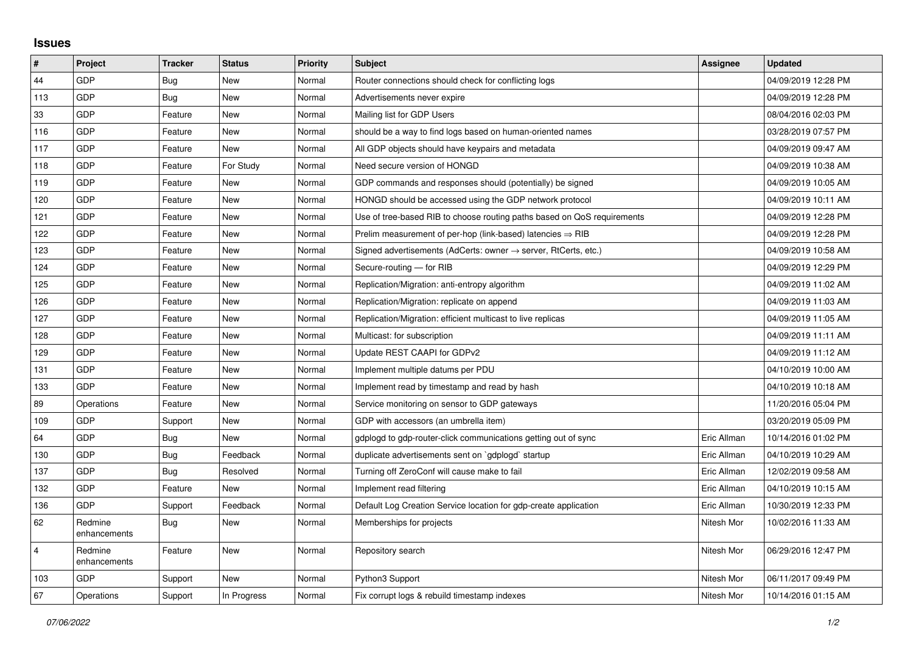## **Issues**

| #              | Project                 | <b>Tracker</b> | <b>Status</b> | <b>Priority</b> | <b>Subject</b>                                                             | <b>Assignee</b> | <b>Updated</b>      |
|----------------|-------------------------|----------------|---------------|-----------------|----------------------------------------------------------------------------|-----------------|---------------------|
| 44             | <b>GDP</b>              | Bug            | <b>New</b>    | Normal          | Router connections should check for conflicting logs                       |                 | 04/09/2019 12:28 PM |
| 113            | GDP                     | Bug            | New           | Normal          | Advertisements never expire                                                |                 | 04/09/2019 12:28 PM |
| 33             | GDP                     | Feature        | New           | Normal          | Mailing list for GDP Users                                                 |                 | 08/04/2016 02:03 PM |
| 116            | GDP                     | Feature        | <b>New</b>    | Normal          | should be a way to find logs based on human-oriented names                 |                 | 03/28/2019 07:57 PM |
| 117            | GDP                     | Feature        | New           | Normal          | All GDP objects should have keypairs and metadata                          |                 | 04/09/2019 09:47 AM |
| 118            | GDP                     | Feature        | For Study     | Normal          | Need secure version of HONGD                                               |                 | 04/09/2019 10:38 AM |
| 119            | GDP                     | Feature        | <b>New</b>    | Normal          | GDP commands and responses should (potentially) be signed                  |                 | 04/09/2019 10:05 AM |
| 120            | GDP                     | Feature        | New           | Normal          | HONGD should be accessed using the GDP network protocol                    |                 | 04/09/2019 10:11 AM |
| 121            | GDP                     | Feature        | <b>New</b>    | Normal          | Use of tree-based RIB to choose routing paths based on QoS requirements    |                 | 04/09/2019 12:28 PM |
| 122            | GDP                     | Feature        | New           | Normal          | Prelim measurement of per-hop (link-based) latencies $\Rightarrow$ RIB     |                 | 04/09/2019 12:28 PM |
| 123            | GDP                     | Feature        | <b>New</b>    | Normal          | Signed advertisements (AdCerts: owner $\rightarrow$ server, RtCerts, etc.) |                 | 04/09/2019 10:58 AM |
| 124            | GDP                     | Feature        | New           | Normal          | Secure-routing - for RIB                                                   |                 | 04/09/2019 12:29 PM |
| 125            | GDP                     | Feature        | New           | Normal          | Replication/Migration: anti-entropy algorithm                              |                 | 04/09/2019 11:02 AM |
| 126            | GDP                     | Feature        | <b>New</b>    | Normal          | Replication/Migration: replicate on append                                 |                 | 04/09/2019 11:03 AM |
| 127            | GDP                     | Feature        | <b>New</b>    | Normal          | Replication/Migration: efficient multicast to live replicas                |                 | 04/09/2019 11:05 AM |
| 128            | GDP                     | Feature        | <b>New</b>    | Normal          | Multicast: for subscription                                                |                 | 04/09/2019 11:11 AM |
| 129            | GDP                     | Feature        | New           | Normal          | Update REST CAAPI for GDPv2                                                |                 | 04/09/2019 11:12 AM |
| 131            | GDP                     | Feature        | New           | Normal          | Implement multiple datums per PDU                                          |                 | 04/10/2019 10:00 AM |
| 133            | GDP                     | Feature        | <b>New</b>    | Normal          | Implement read by timestamp and read by hash                               |                 | 04/10/2019 10:18 AM |
| 89             | Operations              | Feature        | New           | Normal          | Service monitoring on sensor to GDP gateways                               |                 | 11/20/2016 05:04 PM |
| 109            | GDP                     | Support        | New           | Normal          | GDP with accessors (an umbrella item)                                      |                 | 03/20/2019 05:09 PM |
| 64             | GDP                     | Bug            | New           | Normal          | gdplogd to gdp-router-click communications getting out of sync             | Eric Allman     | 10/14/2016 01:02 PM |
| 130            | GDP                     | Bug            | Feedback      | Normal          | duplicate advertisements sent on `gdplogd` startup                         | Eric Allman     | 04/10/2019 10:29 AM |
| 137            | GDP                     | Bug            | Resolved      | Normal          | Turning off ZeroConf will cause make to fail                               | Eric Allman     | 12/02/2019 09:58 AM |
| 132            | GDP                     | Feature        | New           | Normal          | Implement read filtering                                                   | Eric Allman     | 04/10/2019 10:15 AM |
| 136            | GDP                     | Support        | Feedback      | Normal          | Default Log Creation Service location for gdp-create application           | Eric Allman     | 10/30/2019 12:33 PM |
| 62             | Redmine<br>enhancements | <b>Bug</b>     | New           | Normal          | Memberships for projects                                                   | Nitesh Mor      | 10/02/2016 11:33 AM |
| $\overline{4}$ | Redmine<br>enhancements | Feature        | New           | Normal          | Repository search                                                          | Nitesh Mor      | 06/29/2016 12:47 PM |
| 103            | <b>GDP</b>              | Support        | <b>New</b>    | Normal          | Python3 Support                                                            | Nitesh Mor      | 06/11/2017 09:49 PM |
| 67             | Operations              | Support        | In Progress   | Normal          | Fix corrupt logs & rebuild timestamp indexes                               | Nitesh Mor      | 10/14/2016 01:15 AM |